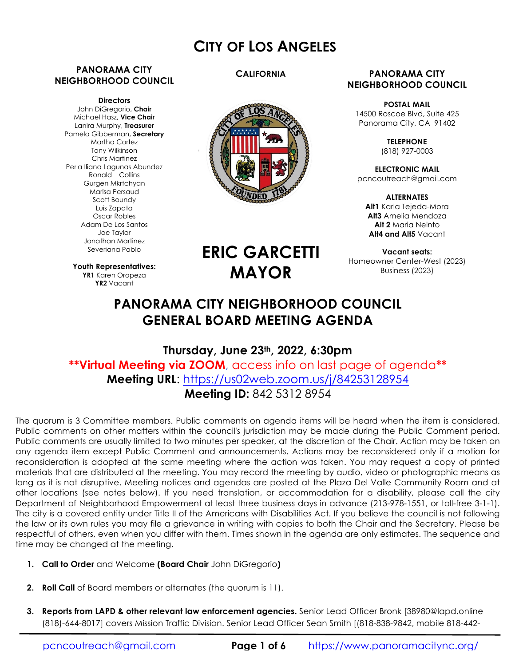# **CITY OF LOS ANGELES**

#### **PANORAMA CITY NEIGHBORHOOD COUNCIL**

#### **Directors**

John DiGregorio, **Chair** Michael Hasz, **Vice Chair** Lanira Murphy, **Treasurer** Pamela Gibberman, **Secretary** Martha Cortez Tony Wilkinson Chris Martinez Perla Iliana Lagunas Abundez Ronald Collins Gurgen Mkrtchyan Marisa Persaud Scott Boundy Luis Zapata Oscar Robles Adam De Los Santos Joe Taylor Jonathan Martinez Severiana Pablo

**CALIFORNIA**



#### **PANORAMA CITY NEIGHBORHOOD COUNCIL**

**POSTAL MAIL** 14500 Roscoe Blvd, Suite 425 Panorama City, CA 91402

> **TELEPHONE** (818) 927-0003

**ELECTRONIC MAIL** pcncoutreach@gmail.com

**ALTERNATES Alt1** Karla Tejeda-Mora **Alt3** Amelia Mendoza **Alt 2** Maria Neinto **Alt4 and Alt5** Vacant

**Vacant seats:** Homeowner Center-West (2023) Business (2023)

**Youth Representatives: YR1** Karen Oropeza **YR2** Vacant

# **ERIC GARCETTI MAYOR**

## **PANORAMA CITY NEIGHBORHOOD COUNCIL GENERAL BOARD MEETING AGENDA**

**Thursday, June 23th, 2022, 6:30pm \*\*Virtual Meeting via ZOOM**, access info on last page of agenda**\*\* Meeting URL**: https://us02web.zoom.us/j/84253128954 **Meeting ID:** 842 5312 8954

The quorum is 3 Committee members. Public comments on agenda items will be heard when the item is considered. Public comments on other matters within the council's jurisdiction may be made during the Public Comment period. Public comments are usually limited to two minutes per speaker, at the discretion of the Chair. Action may be taken on any agenda item except Public Comment and announcements. Actions may be reconsidered only if a motion for reconsideration is adopted at the same meeting where the action was taken. You may request a copy of printed materials that are distributed at the meeting. You may record the meeting by audio, video or photographic means as long as it is not disruptive. Meeting notices and agendas are posted at the Plaza Del Valle Community Room and at other locations (see notes below). If you need translation, or accommodation for a disability, please call the city Department of Neighborhood Empowerment at least three business days in advance (213-978-1551, or toll-free 3-1-1). The city is a covered entity under Title II of the Americans with Disabilities Act. If you believe the council is not following the law or its own rules you may file a grievance in writing with copies to both the Chair and the Secretary. Please be respectful of others, even when you differ with them. Times shown in the agenda are only estimates. The sequence and time may be changed at the meeting.

- **1. Call to Order** and Welcome **(Board Chair** John DiGregorio**)**
- **2. Roll Call** of Board members or alternates (the quorum is 11).
- **3. Reports from LAPD & other relevant law enforcement agencies.** Senior Lead Officer Bronk [38980@lapd.online (818)-644-8017] covers Mission Traffic Division. Senior Lead Officer Sean Smith [(818-838-9842, mobile 818-442-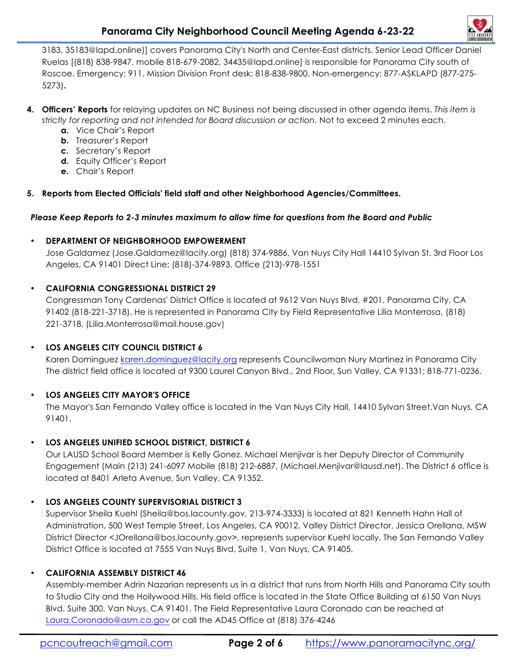

3183, 35183@lapd.online)] covers Panorama City's North and Center-East districts. Senior Lead Officer Daniel Ruelas [(818) 838-9847, mobile 818-679-2082, 34435@lapd.online] is responsible for Panorama City south of Roscoe. Emergency: 911. Mission Division Front desk: 818-838-9800. Non-emergency: 877-ASKLAPD (877-275- 5273)**.** 

- **4. Officers' Reports** for relaying updates on NC Business not being discussed in other agenda items. *This item is strictly for reporting and not intended for Board discussion or action.* Not to exceed 2 minutes each.
	- **a.** Vice Chair's Report
	- **b.** Treasurer's Report
	- **c.** Secretary's Report
	- **d.** Equity Officer's Report
	- **e.** Chair's Report

## **5. Reports from Elected Officials' field staff and other Neighborhood Agencies/Committees.**

#### *Please Keep Reports to 2-3 minutes maximum to allow time for questions from the Board and Public*

## • **DEPARTMENT OF NEIGHBORHOOD EMPOWERMENT**

Jose Galdamez (Jose.Galdamez@lacity.org) (818) 374-9886, Van Nuys City Hall 14410 Sylvan St. 3rd Floor Los Angeles, CA 91401 Direct Line: (818)-374-9893, Office (213)-978-1551

## • **CALIFORNIA CONGRESSIONAL DISTRICT 29**

Congressman Tony Cardenas' District Office is located at 9612 Van Nuys Blvd, #201, Panorama City, CA 91402 (818-221-3718). He is represented in Panorama City by Field Representative Lilia Monterrosa, (818) 221-3718, (Lilia.Monterrosa@mail.house.gov)

## • **LOS ANGELES CITY COUNCIL DISTRICT 6**

Karen Dominguez karen.dominguez@lacity.org represents Councilwoman Nury Martinez in Panorama City The district field office is located at 9300 Laurel Canyon Blvd., 2nd Floor, Sun Valley, CA 91331; 818-771-0236.

## • **LOS ANGELES CITY MAYOR'S OFFICE**

The Mayor's San Fernando Valley office is located in the Van Nuys City Hall, 14410 Sylvan Street,Van Nuys, CA 91401.

## • **LOS ANGELES UNIFIED SCHOOL DISTRICT, DISTRICT 6**

Our LAUSD School Board Member is Kelly Gonez. Michael Menjivar is her Deputy Director of Community Engagement (Main (213) 241-6097 Mobile (818) 212-6887, (Michael.Menjivar@lausd.net). The District 6 office is located at 8401 Arleta Avenue, Sun Valley, CA 91352.

## • **LOS ANGELES COUNTY SUPERVISORIAL DISTRICT 3**

Supervisor Sheila Kuehl (Sheila@bos.lacounty.gov, 213-974-3333) is located at 821 Kenneth Hahn Hall of Administration, 500 West Temple Street, Los Angeles, CA 90012. Valley District Director, Jessica Orellana, MSW District Director <JOrellana@bos.lacounty.gov>, represents supervisor Kuehl locally. The San Fernando Valley District Office is located at 7555 Van Nuys Blvd, Suite 1, Van Nuys, CA 91405.

#### • **CALIFORNIA ASSEMBLY DISTRICT 46**

Assembly-member Adrin Nazarian represents us in a district that runs from North Hills and Panorama City south to Studio City and the Hollywood Hills. His field office is located in the State Office Building at 6150 Van Nuys Blvd, Suite 300, Van Nuys, CA 91401. The Field Representative Laura Coronado can be reached at Laura.Coronado@asm.ca.gov or call the AD45 Office at (818) 376-4246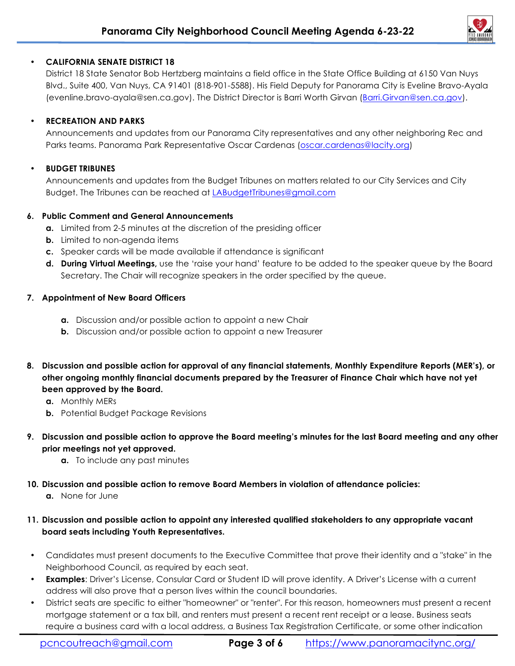

#### • **CALIFORNIA SENATE DISTRICT 18**

District 18 State Senator Bob Hertzberg maintains a field office in the State Office Building at 6150 Van Nuys Blvd., Suite 400, Van Nuys, CA 91401 (818-901-5588). His Field Deputy for Panorama City is Eveline Bravo-Ayala (evenline.bravo-ayala@sen.ca.gov). The District Director is Barri Worth Girvan (Barri.Girvan@sen.ca.gov).

#### • **RECREATION AND PARKS**

Announcements and updates from our Panorama City representatives and any other neighboring Rec and Parks teams. Panorama Park Representative Oscar Cardenas (oscar.cardenas@lacity.org)

#### • **BUDGET TRIBUNES**

Announcements and updates from the Budget Tribunes on matters related to our City Services and City Budget. The Tribunes can be reached at LABudgetTribunes@gmail.com

#### **6. Public Comment and General Announcements**

- **a.** Limited from 2-5 minutes at the discretion of the presiding officer
- **b.** Limited to non-agenda items
- **c.** Speaker cards will be made available if attendance is significant
- **d. During Virtual Meetings,** use the 'raise your hand' feature to be added to the speaker queue by the Board Secretary. The Chair will recognize speakers in the order specified by the queue.

#### **7. Appointment of New Board Officers**

- **a.** Discussion and/or possible action to appoint a new Chair
- **b.** Discussion and/or possible action to appoint a new Treasurer
- **8. Discussion and possible action for approval of any financial statements, Monthly Expenditure Reports (MER's), or other ongoing monthly financial documents prepared by the Treasurer of Finance Chair which have not yet been approved by the Board.**
	- **a.** Monthly MERs
	- **b.** Potential Budget Package Revisions
- **9. Discussion and possible action to approve the Board meeting's minutes for the last Board meeting and any other prior meetings not yet approved.** 
	- **a.** To include any past minutes
- **10. Discussion and possible action to remove Board Members in violation of attendance policies:**
	- **a.** None for June
- **11. Discussion and possible action to appoint any interested qualified stakeholders to any appropriate vacant board seats including Youth Representatives.**
- Candidates must present documents to the Executive Committee that prove their identity and a "stake" in the Neighborhood Council, as required by each seat.
- **Examples**: Driver's License, Consular Card or Student ID will prove identity. A Driver's License with a current address will also prove that a person lives within the council boundaries.
- District seats are specific to either "homeowner" or "renter". For this reason, homeowners must present a recent mortgage statement or a tax bill, and renters must present a recent rent receipt or a lease. Business seats require a business card with a local address, a Business Tax Registration Certificate, or some other indication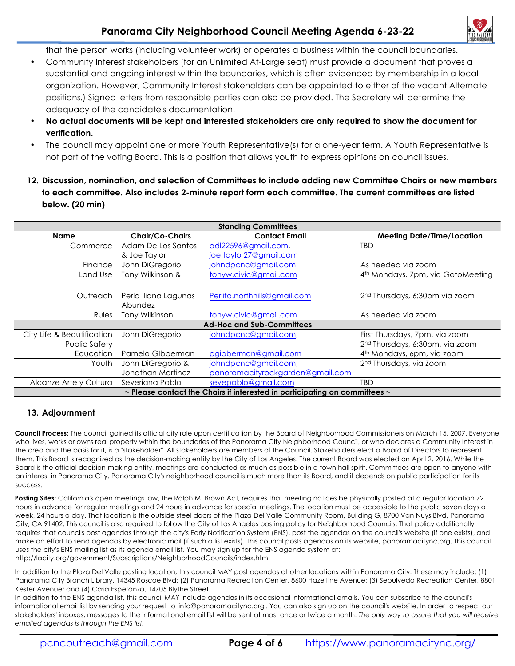## **Panorama City Neighborhood Council Meeting Agenda 6-23-22**



that the person works (including volunteer work) or operates a business within the council boundaries.

- Community Interest stakeholders (for an Unlimited At-Large seat) must provide a document that proves a substantial and ongoing interest within the boundaries, which is often evidenced by membership in a local organization. However, Community Interest stakeholders can be appointed to either of the vacant Alternate positions.) Signed letters from responsible parties can also be provided. The Secretary will determine the adequacy of the candidate's documentation.
- **No actual documents will be kept and interested stakeholders are only required to show the document for verification.**
- The council may appoint one or more Youth Representative(s) for a one-year term. A Youth Representative is not part of the voting Board. This is a position that allows youth to express opinions on council issues.
- **12. Discussion, nomination, and selection of Committees to include adding new Committee Chairs or new members to each committee. Also includes 2-minute report form each committee. The current committees are listed below. (20 min)**

| <b>Standing Committees</b>                                                           |                        |                                  |                                               |
|--------------------------------------------------------------------------------------|------------------------|----------------------------------|-----------------------------------------------|
| <b>Name</b>                                                                          | <b>Chair/Co-Chairs</b> | <b>Contact Email</b>             | <b>Meeting Date/Time/Location</b>             |
| Commerce                                                                             | Adam De Los Santos     | adl22596@gmail.com,              | <b>TBD</b>                                    |
|                                                                                      | & Joe Taylor           | joe.taylor27@gmail.com           |                                               |
| Finance                                                                              | John DiGregorio        | johndpcnc@gmail.com              | As needed via zoom                            |
| Land Use                                                                             | Tony Wilkinson &       | tonyw.civic@gmail.com            | 4 <sup>th</sup> Mondays, 7pm, via GotoMeeting |
|                                                                                      |                        |                                  |                                               |
| Outreach                                                                             | Perla Iliana Lagunas   | Perlita.northhills@gmail.com     | 2 <sup>nd</sup> Thursdays, 6:30pm via zoom    |
|                                                                                      | Abundez                |                                  |                                               |
| Rules                                                                                | Tony Wilkinson         | tonyw.civic@gmail.com            | As needed via zoom                            |
| <b>Ad-Hoc and Sub-Committees</b>                                                     |                        |                                  |                                               |
| City Life & Beautification                                                           | John DiGregorio        | johndpcnc@gmail.com,             | First Thursdays, 7pm, via zoom                |
| <b>Public Safety</b>                                                                 |                        |                                  | 2 <sup>nd</sup> Thursdays, 6:30pm, via zoom   |
| Education                                                                            | Pamela Glbberman       | pgibberman@gmail.com             | 4 <sup>th</sup> Mondays, 6pm, via zoom        |
| Youth                                                                                | John DiGregorio &      | johndpcnc@gmail.com,             | 2 <sup>nd</sup> Thursdays, via Zoom           |
|                                                                                      | Jonathan Martinez      | panoramacityrockgarden@gmail.com |                                               |
| Alcanze Arte y Cultura                                                               | Severiana Pablo        | sevepablo@gmail.com              | <b>TBD</b>                                    |
| $\sim$ Please contact the Chairs if interested in participating on committees $\sim$ |                        |                                  |                                               |

#### **13. Adjournment**

Council Process: The council gained its official city role upon certification by the Board of Neighborhood Commissioners on March 15, 2007. Everyone who lives, works or owns real property within the boundaries of the Panorama City Neighborhood Council, or who declares a Community Interest in the area and the basis for it, is a "stakeholder". All stakeholders are members of the Council. Stakeholders elect a Board of Directors to represent them. This Board is recognized as the decision-making entity by the City of Los Angeles. The current Board was elected on April 2, 2016. While the Board is the official decision-making entity, meetings are conducted as much as possible in a town hall spirit. Committees are open to anyone with an interest in Panorama City. Panorama City's neighborhood council is much more than its Board, and it depends on public participation for its success.

Posting Sites: California's open meetings law, the Ralph M. Brown Act, requires that meeting notices be physically posted at a regular location 72 hours in advance for regular meetings and 24 hours in advance for special meetings. The location must be accessible to the public seven days a week, 24 hours a day. That location is the outside steel doors of the Plaza Del Valle Community Room, Building G, 8700 Van Nuys Blvd, Panorama City, CA 91402. This council is also required to follow the City of Los Angeles posting policy for Neighborhood Councils. That policy additionally requires that councils post agendas through the city's Early Notification System (ENS), post the agendas on the council's website (if one exists), and make an effort to send agendas by electronic mail (if such a list exists). This council posts agendas on its website, panoramacitync.org. This council uses the city's ENS mailing list as its agenda email list. You may sign up for the ENS agenda system at: http://lacity.org/government/Subscriptions/NeighborhoodCouncils/index.htm.

In addition to the Plaza Del Valle posting location, this council MAY post agendas at other locations within Panorama City. These may include: (1) Panorama City Branch Library, 14345 Roscoe Blvd; (2) Panorama Recreation Center, 8600 Hazeltine Avenue; (3) Sepulveda Recreation Center, 8801 Kester Avenue; and (4) Casa Esperanza, 14705 Blythe Street.

In addition to the ENS agenda list, this council MAY include agendas in its occasional informational emails. You can subscribe to the council's informational email list by sending your request to 'info@panoramacitync.org'. You can also sign up on the council's website. In order to respect our stakeholders' inboxes, messages to the informational email list will be sent at most once or twice a month. *The only way to assure that you will receive emailed agendas is through the ENS list.*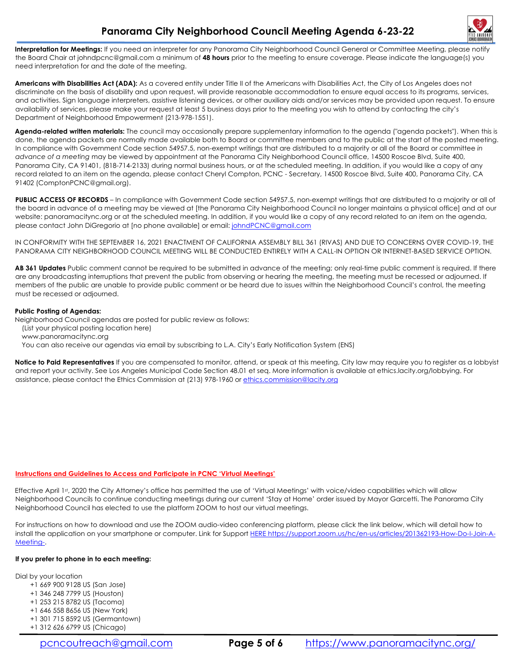## **Panorama City Neighborhood Council Meeting Agenda 6-23-22**



**Interpretation for Meetings:** If you need an interpreter for any Panorama City Neighborhood Council General or Committee Meeting, please notify the Board Chair at johndpcnc@gmail.com a minimum of **48 hours** prior to the meeting to ensure coverage. Please indicate the language(s) you need interpretation for and the date of the meeting.

**Americans with Disabilities Act (ADA):** As a covered entity under Title II of the Americans with Disabilities Act, the City of Los Angeles does not discriminate on the basis of disability and upon request, will provide reasonable accommodation to ensure equal access to its programs, services, and activities. Sign language interpreters, assistive listening devices, or other auxiliary aids and/or services may be provided upon request. To ensure availability of services, please make your request at least 5 business days prior to the meeting you wish to attend by contacting the city's Department of Neighborhood Empowerment (213-978-1551).

**Agenda-related written materials:** The council may occasionally prepare supplementary information to the agenda ("agenda packets"). When this is done, the agenda packets are normally made available both to Board or committee members and to the public at the start of the posted meeting. In compliance with Government Code section 54957.5, non-exempt writings that are distributed to a majority or all of the Board or committee *in advance of a meeting* may be viewed by appointment at the Panorama City Neighborhood Council office, 14500 Roscoe Blvd, Suite 400, Panorama City, CA 91401, (818-714-2133) during normal business hours, or at the scheduled meeting. In addition, if you would like a copy of any record related to an item on the agenda, please contact Cheryl Compton, PCNC - Secretary, 14500 Roscoe Blvd, Suite 400, Panorama City, CA 91402 (ComptonPCNC@gmail.org).

PUBLIC ACCESS OF RECORDS – In compliance with Government Code section 54957.5, non-exempt writings that are distributed to a majority or all of the board in advance of a meeting may be viewed at [the Panorama City Neighborhood Council no longer maintains a physical office] and at our website: panoramacitync.org or at the scheduled meeting. In addition, if you would like a copy of any record related to an item on the agenda, please contact John DiGregorio at [no phone available] or email: johndPCNC@gmail.com

IN CONFORMITY WITH THE SEPTEMBER 16, 2021 ENACTMENT OF CALIFORNIA ASSEMBLY BILL 361 (RIVAS) AND DUE TO CONCERNS OVER COVID-19, THE PANORAMA CITY NEIGHBORHOOD COUNCIL MEETING WILL BE CONDUCTED ENTIRELY WITH A CALL-IN OPTION OR INTERNET-BASED SERVICE OPTION.

**AB 361 Updates** Public comment cannot be required to be submitted in advance of the meeting; only real-time public comment is required. If there are any broadcasting interruptions that prevent the public from observing or hearing the meeting, the meeting must be recessed or adjourned. If members of the public are unable to provide public comment or be heard due to issues within the Neighborhood Council's control, the meeting must be recessed or adjourned.

#### **Public Posting of Agendas:**

Neighborhood Council agendas are posted for public review as follows:

- (List your physical posting location here)
- www.panoramacitync.org
- You can also receive our agendas via email by subscribing to L.A. City's Early Notification System (ENS)

**Notice to Paid Representatives** If you are compensated to monitor, attend, or speak at this meeting, City law may require you to register as a lobbyist and report your activity. See Los Angeles Municipal Code Section 48.01 et seq. More information is available at ethics.lacity.org/lobbying. For assistance, please contact the Ethics Commission at (213) 978-1960 or ethics.commission@lacity.org

#### **Instructions and Guidelines to Access and Participate in PCNC 'Virtual Meetings'**

Effective April 1st, 2020 the City Attorney's office has permitted the use of 'Virtual Meetings' with voice/video capabilities which will allow Neighborhood Councils to continue conducting meetings during our current 'Stay at Home' order issued by Mayor Garcetti. The Panorama City Neighborhood Council has elected to use the platform ZOOM to host our virtual meetings.

For instructions on how to download and use the ZOOM audio-video conferencing platform, please click the link below, which will detail how to install the application on your smartphone or computer. Link for Support HERE https://support.zoom.us/hc/en-us/articles/201362193-How-Do-I-Join-A-Meeting-.

#### **If you prefer to phone in to each meeting:**

Dial by your location

- +1 669 900 9128 US (San Jose)
- +1 346 248 7799 US (Houston)
- +1 253 215 8782 US (Tacoma)
- +1 646 558 8656 US (New York)
- +1 301 715 8592 US (Germantown)
- +1 312 626 6799 US (Chicago)